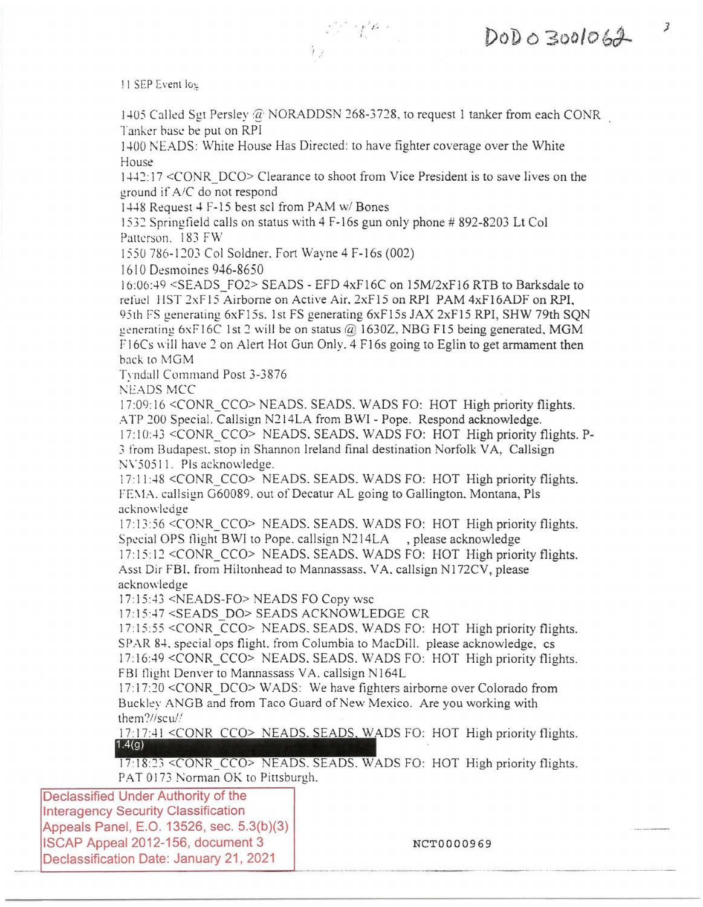!! SEP Event log

1405 Called Sgt Persley @ NORADDSN 268-3728, to request 1 tanker from each CONR Tanker hase be put on RPI

 $\sum_{i=1}^n \mathcal{E}_i^{\mathcal{L}_i} = \int_{-\infty}^{\infty} \mathbf{Z}_i^{\mathcal{L}_i} \mathbf{z}_i$ 

*)* 

 $DODO3001062$ 

1400 NEADS: White House Has Directed: to have fighter coverage over the White House

1442: 17 <CONR DCO> Clearance to shoot from Vice President is to save lives on the ground if A/C do not respond

1448 Request 4 F-15 best sci from PAM w/ Bones

1532 Springfield calls on status with 4 F-16s gun only phone# 892-8203 Lt Col Patterson. 183 FW

1550 786-1203 Col Soldner. Fort Wayne 4 F-16s (002)

1610 Desmoines 946-8650

 $16:06:49 \leq \text{SEADS}$  FO2> SEADS - EFD  $4xF16C$  on  $15M/2xF16$  RTB to Barksdale to refud 11ST 2xF15 Airborne on Active Air. 2xF15 on RPI PAM 4xF16ADF on RPI, 95th FS generating 6xF15s. 1st FS generating 6xF15s JAX 2xF15 RPI, SHW 79th SON generating 6xF16C 1st 2 will be on status @ 1630Z, NBG F15 being generated, MGM  $F16Cs$  will have 2 on Alert Hot Gun Only, 4 F16s going to Eglin to get armament then back to MGM

Trndall Command Post 3-3876

Nl:ADS MCC

17:09:16 <CONR CCO> NEADS. SEADS, WADS FO: HOT High priority flights. ATP 200 Special. Callsign N214LA from BWI - Pope. Respond acknowledge.

17:10:43 < CONR CCO> NEADS, SEADS, WADS FO: HOT High priority flights. P-*3* from Budapest. stop in Shannon Ireland final destination Norfolk VA, Callsign NV50511. Pls acknowledge.

17:11:48 <CONR\_CCO> NEADS. SEADS. WADS FO: HOT High priority flights. FEMA. callsign G60089. out of Decatur AL going to Gallington. Montana, Pls acknowledge

17: 13 :56 <CONR\_CCO> NEADS. SEADS. WADS FO: HOT High priority flights. Special OPS flight BWI to Pope, callsign N214LA, please acknowledge 17:15:12 < CONR\_CCO> NEADS, SEADS, WADS FO: HOT High priority flights. Asst Dir FBI. from Hiltonhead to Mannassass. VA. callsign NJ 72CV, please

acknowledge

I 7: 15:43 <NEADS-FO> NEADS FO Copy wsc

17: 15 :47 <SEADS DO> SEADS ACKNOWLEDGE CR

17:15:55 <CONR\_CCO> NEADS, SEADS, WADS FO: HOT High priority flights. SPAR 84, special ops flight, from Columbia to MacDill. please acknowledge, cs 17:16:49 < CONR CCO> NEADS. SEADS. WADS FO: HOT High priority flights. FBI flight Denver to Mannassass VA, callsign N164L

17:17:20 <CONR\_DCO> WADS: We have fighters airborne over Colorado from Buckley ANGB and from Taco Guard of New Mexico. Are you working with them?//scu//

17:17:41 <CONR CCO> NEADS. SEADS, WADS FO: HOT High priority flights. 1.4(g)

17 :18 :23 <CONR CCO> NEADS. SEADS. WADS FO: HOT High priority flights. PAT O173 Norman OK to Pittsburgh.

Declassified Under Authority of the lnteragency Security Classification Appeals Panel, E.O. 13526, sec. 5.3(b)(3) ISCAP Appeal 2012-156, document 3 and the method of NCT0000969 Declassification Date: January 21, 2021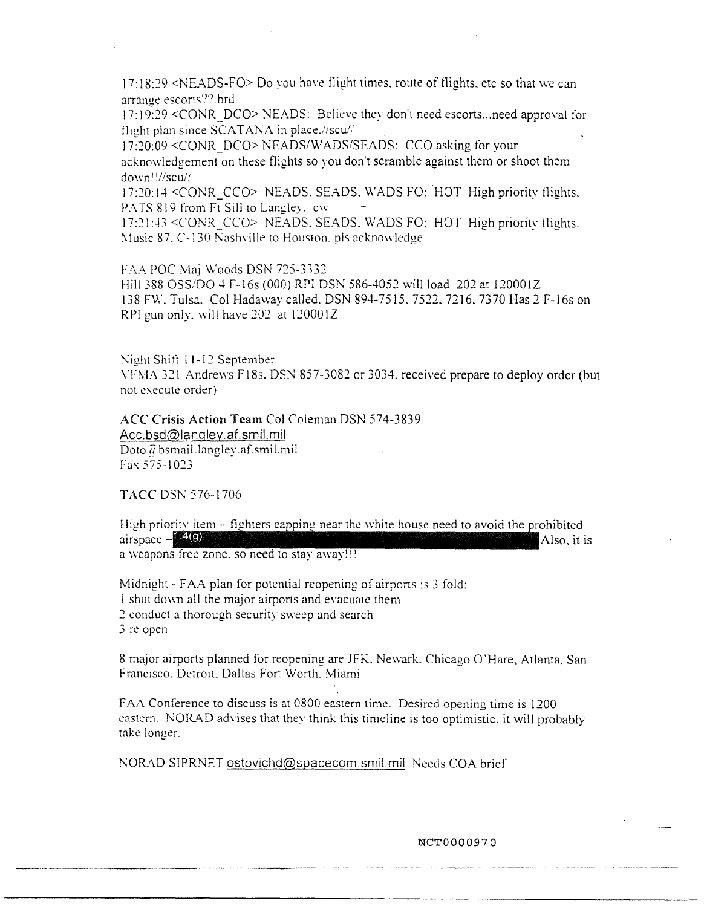$17:18:29$  <NEADS-FO> Do you have flight times, route of flights, etc so that we can arrange escorts??.brd

17:19:29 <CONR\_DCO> NEADS: Believe they don't need escorts ... need approval for flight plan since  $\overline{SCATANA}$  in place.//scu//

17:20:09 <CONR\_DCO> NEADS/\VADS/SEADS: CCO asking for your acknowledgement on these flights so you don't scramble against them or shoot them down~ *!/!scu/.1* 

17:20:14 <CONR CCO> NEADS. SEADS, WADS FO: HOT High priority flights. PATS 819 from Ft Sill to Langley. cw

17:21:43 <CONR CCO> NEADS. SEADS. WADS FO: HOT High priority flights.  $Music 87$ . C-130 Nashville to Houston. pls acknowledge

FAA POC Maj Woods DSN 725-3332

Hill 388 OSS/DO 4 F-16s (000) RPI DSN 586-4052 will load 202 at 120001Z 138 FW. Tulsa. Col Hadaway called. DSN 894-7515. 7522. 7216. 7370 Has 2 F-16s on RPI gun only. will have *202* at 120001Z

Night Shift 11-12 September

\Tf'vlA 321 Andrews F18s. DSN 857-3082 or 3034. received prepare to deploy order (but not execute order).

**ACC Crisis Action Team** Col Coleman DSN 574-3839

[Acc.bsd@langley.af.srnil.mil](mailto:Acc.bsd@langley.af.smil.mil) Doto & bsmail.langley.af.smil.mil<br>Fax 575-1023

TACC DSN 576-1706

airspace  $-1.4(9)$  Also, it is High priority item  $-$  fighters capping near the white house need to avoid the prohibited a weapons free zone. so need to stay away!!!

Midnight - FAA plan for potential reopening of airports is 3 fold: I shut down all the major airports and evacuate them *2* conduct a thorough security sweep and search 3 re open

8 major airports planned for reopening are JFK. Newark. Chicago O'Hare, Atlanta. San Francisco. Detroit. Dallas Fort Worth. Miami

FAA Conference to discuss is at 0800 eastern time. Desired opening time is 1200 eastern. NORAD advises that they think this timeline is too optimistic. it will probably take longer.

NORAD SIPRNET [ostovichd@spacecom.smil.mil](mailto:ostovichd@spacecom.smil.mil) Needs COA brief

NCT0000970